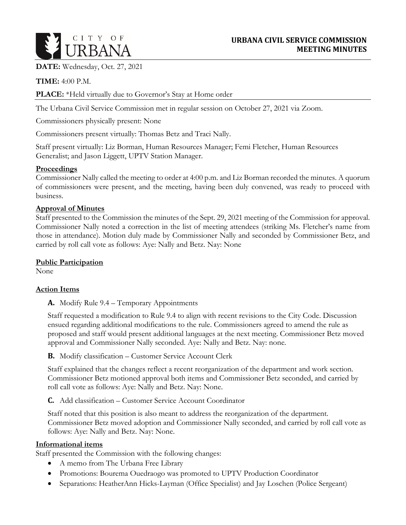

**DATE:** Wednesday, Oct. 27, 2021

# **TIME:** 4:00 P.M.

# **PLACE:** \*Held virtually due to Governor's Stay at Home order

The Urbana Civil Service Commission met in regular session on October 27, 2021 via Zoom.

Commissioners physically present: None

Commissioners present virtually: Thomas Betz and Traci Nally.

Staff present virtually: Liz Borman, Human Resources Manager; Femi Fletcher, Human Resources Generalist; and Jason Liggett, UPTV Station Manager.

### **Proceedings**

Commissioner Nally called the meeting to order at 4:00 p.m. and Liz Borman recorded the minutes. A quorum of commissioners were present, and the meeting, having been duly convened, was ready to proceed with business.

### **Approval of Minutes**

Staff presented to the Commission the minutes of the Sept. 29, 2021 meeting of the Commission for approval. Commissioner Nally noted a correction in the list of meeting attendees (striking Ms. Fletcher's name from those in attendance). Motion duly made by Commissioner Nally and seconded by Commissioner Betz, and carried by roll call vote as follows: Aye: Nally and Betz. Nay: None

### **Public Participation**

None

## **Action Items**

**A.** Modify Rule 9.4 – Temporary Appointments

Staff requested a modification to Rule 9.4 to align with recent revisions to the City Code. Discussion ensued regarding additional modifications to the rule. Commissioners agreed to amend the rule as proposed and staff would present additional languages at the next meeting. Commissioner Betz moved approval and Commissioner Nally seconded. Aye: Nally and Betz. Nay: none.

**B.** Modify classification – Customer Service Account Clerk

Staff explained that the changes reflect a recent reorganization of the department and work section. Commissioner Betz motioned approval both items and Commissioner Betz seconded, and carried by roll call vote as follows: Aye: Nally and Betz. Nay: None.

**C.** Add classification – Customer Service Account Coordinator

Staff noted that this position is also meant to address the reorganization of the department. Commissioner Betz moved adoption and Commissioner Nally seconded, and carried by roll call vote as follows: Aye: Nally and Betz. Nay: None.

## **Informational items**

Staff presented the Commission with the following changes:

- A memo from The Urbana Free Library
- Promotions: Bourema Ouedraogo was promoted to UPTV Production Coordinator
- Separations: HeatherAnn Hicks-Layman (Office Specialist) and Jay Loschen (Police Sergeant)